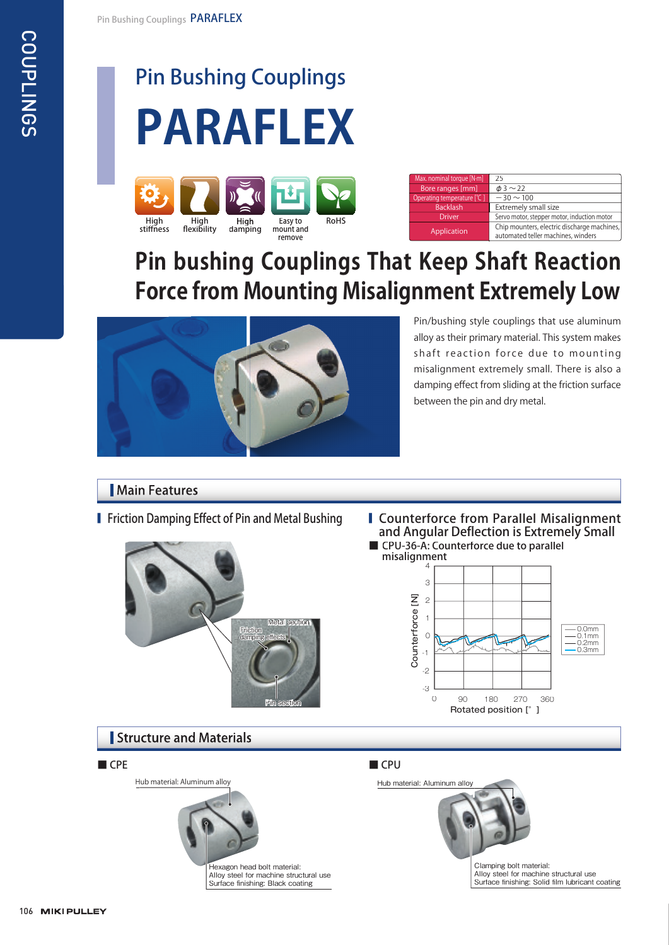COUPLINGS

**COUPLINGS** 

## Pin Bushing Couplings





| Max. nominal torque [N·m]  | 25                                                                                |
|----------------------------|-----------------------------------------------------------------------------------|
| Bore ranges [mm]           | $\phi$ 3 $\sim$ 22                                                                |
| Operating temperature [°C] | $-30 \sim 100$                                                                    |
| <b>Backlash</b>            | Extremely small size                                                              |
| <b>Driver</b>              | Servo motor, stepper motor, induction motor                                       |
| Application                | Chip mounters, electric discharge machines,<br>automated teller machines, winders |

### **Pin bushing Couplings That Keep Shaft Reaction Force from Mounting Misalignment Extremely Low**



Pin/bushing style couplings that use aluminum alloy as their primary material. This system makes shaft reaction force due to mounting misalignment extremely small. There is also a damping effect from sliding at the friction surface between the pin and dry metal.

### Main Features



■ Friction Damping Effect of Pin and Metal Bushing ■ Counterforce from Parallel Misalignment and Angular Deflection is Extremely Small <sup>g</sup> ■ CPU-36-A: Counterforce due to parallel



### **Structure and Materials**

Hub material: Aluminum alloy



Hexagon head bolt material: Alloy steel for machine structural use Surface finishing: Black coating

#### ■ CPE ■ CPU

Hub material: Aluminum alloy



Clamping bolt material: Alloy steel for machine structural use Surface finishing: Solid film lubricant coating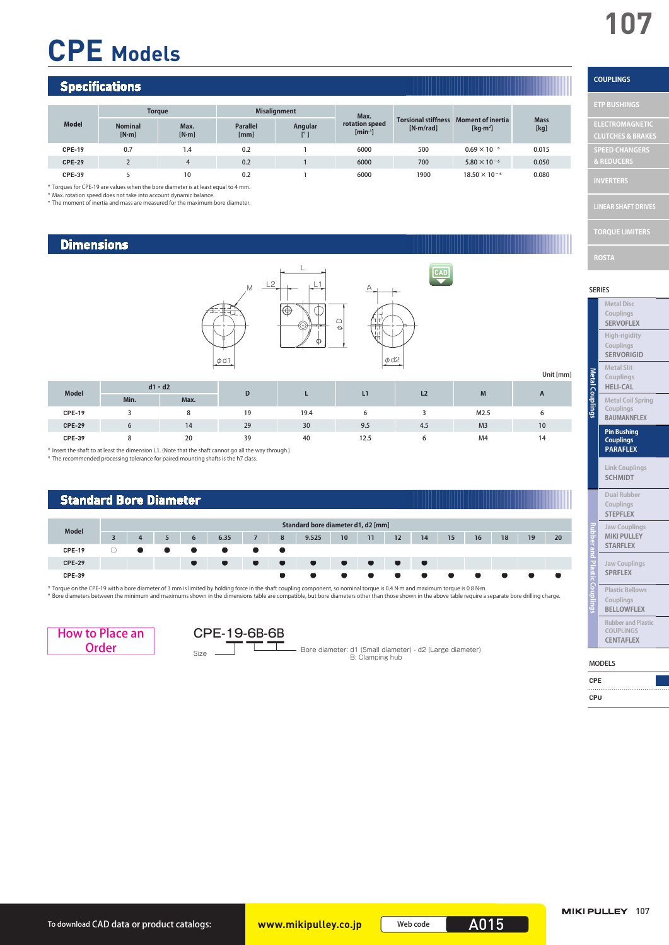# **CPE Models**

#### **Specifications**

| Model         | <b>Torque</b>           |                 | <b>Misalignment</b>     |         | Max.                           |                                         |                                         |                     |
|---------------|-------------------------|-----------------|-------------------------|---------|--------------------------------|-----------------------------------------|-----------------------------------------|---------------------|
|               | <b>Nominal</b><br>[N·m] | Max.<br>$[N-m]$ | <b>Parallel</b><br>[mm] | Angular | rotation speed<br>$[min^{-1}]$ | <b>Torsional stiffness</b><br>[N·m/rad] | <b>Moment of inertia</b><br>[ $kg·m²$ ] | <b>Mass</b><br>[kg] |
| <b>CPE-19</b> | 0.7                     | 1.4             | 0.2                     |         | 6000                           | 500                                     | $0.69 \times 10^{-6}$                   | 0.015               |
| <b>CPE-29</b> |                         | 4               | 0.2                     |         | 6000                           | 700                                     | $5.80 \times 10^{-6}$                   | 0.050               |
| <b>CPE-39</b> |                         | 10              | 0.2                     |         | 6000                           | 1900                                    | $18.50 \times 10^{-6}$                  | 0.080               |

\* Torques for CPE-19 are values when the bore diameter is at least equal to 4 mm.

\* Max. rotation speed does not take into account dynamic balance. \* The moment of inertia and mass are measured for the maximum bore diameter.

#### **Dimensions**



|               |      |               |    |      |      |                |                | Unit [mm]    |
|---------------|------|---------------|----|------|------|----------------|----------------|--------------|
| <b>Model</b>  |      | $d1 \cdot d2$ | D  |      |      | L <sub>2</sub> | M              |              |
|               | Min. | Max.          |    |      | L1   |                |                | $\mathbf{A}$ |
| <b>CPE-19</b> |      |               | 19 | 19.4 |      |                | M2.5           | b            |
| <b>CPE-29</b> |      | 14            | 29 | 30   | 9.5  | 4.5            | M <sub>3</sub> | 10           |
| <b>CPE-39</b> |      | 20            | 39 | 40   | 12.5 |                | M4             | 14           |

\* Insert the shaft to at least the dimension L1. (Note that the shaft cannot go all the way through.) \* The recommended processing tolerance for paired mounting shafts is the h7 class.



\* Torque on the CPE-19 with a bore diameter of 3 mm is limited by holding force in the shaft coupling component, so nominal torque is 0.4 N·m and maximum torque is 0.8 N·m.<br>\* Bore diameters between the minimum and maximums





Bore diameter: d1 (Small diameter) - d2 (Large diameter) B: Clamping hub Size

CAD

#### **COUPLINGS**

| <b>ETP BUSHINGS</b>                                    |
|--------------------------------------------------------|
| <b>ELECTROMAGNETIC</b><br><b>CLUTCHES &amp; BRAKES</b> |
| <b>SPEED CHANGERS</b>                                  |
| & REDUCERS<br><b>INVERTERS</b>                         |
| <b>LINEAR SHAFT DRIVES</b>                             |
| <b>TORQUE LIMITERS</b>                                 |

SERIES

|  | <b>Metal Disc</b><br>Couplings<br><b>SERVOFLEX</b>            |
|--|---------------------------------------------------------------|
|  | High-rigidity<br>Couplings<br><b>SERVORIGID</b>               |
|  | <b>Metal Slit</b><br>Couplings<br><b>HELI-CAL</b>             |
|  | <b>Metal Coil Spring</b><br>Couplings<br><b>BAUMANNFLEX</b>   |
|  | <b>Pin Bushing</b><br><b>Couplings</b><br><b>PARAFLEX</b>     |
|  | <b>Link Couplings</b><br><b>SCHMIDT</b>                       |
|  | <b>Dual Rubber</b><br>Couplings<br><b>STEPFLEX</b>            |
|  | <b>Jaw Couplings</b><br><b>MIKI PULLEY</b><br><b>STARFLEX</b> |
|  | <b>Jaw Couplings</b><br><b>SPRFLEX</b>                        |
|  | <b>Plastic Bellows</b><br>Couplings                           |

| Jaw Couplings<br><b>SPRFLEX</b>                          |
|----------------------------------------------------------|
| <b>Plastic Bellows</b><br>Couplings<br><b>BELLOWFLEX</b> |
| <b>Rubber and Plastic</b><br>COUPLINGS                   |

#### MODELS

| <b>CPE</b> |  |  |  |  |  |  |  |  |  |  |
|------------|--|--|--|--|--|--|--|--|--|--|
|            |  |  |  |  |  |  |  |  |  |  |
| CPU        |  |  |  |  |  |  |  |  |  |  |

**CENTAFLEX**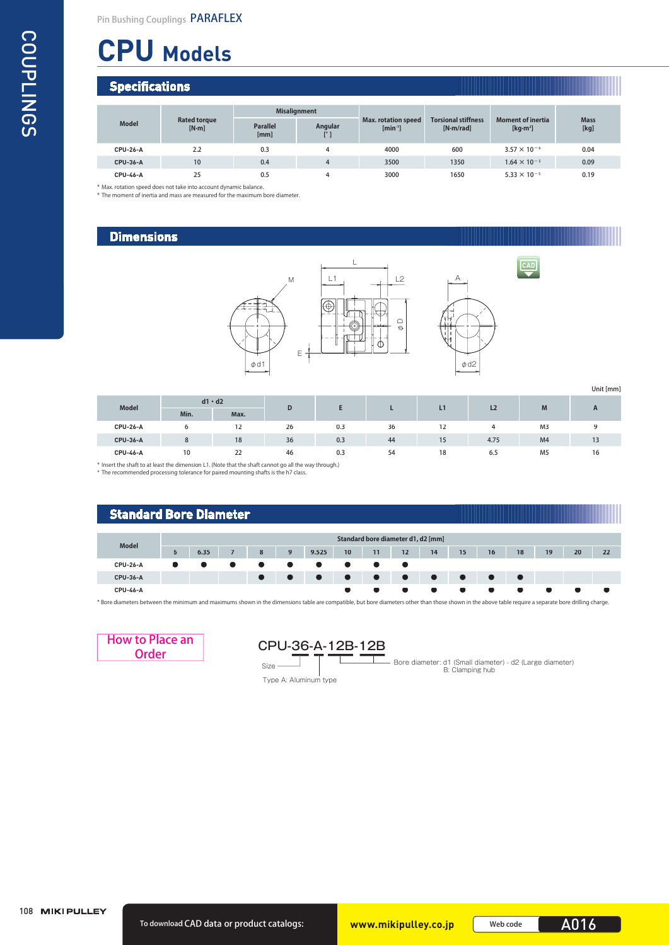## **CPU Models**

#### **Specifications**

COUPLINGS COUPLINGS

|                 |                              |                         | <b>Misalignment</b>     |                                            |                                         |                                                                     |                     |
|-----------------|------------------------------|-------------------------|-------------------------|--------------------------------------------|-----------------------------------------|---------------------------------------------------------------------|---------------------|
| <b>Model</b>    | <b>Rated torque</b><br>[N·m] | <b>Parallel</b><br>[mm] | Angular<br>$[^{\circ}]$ | <b>Max. rotation speed</b><br>$[min^{-1}]$ | <b>Torsional stiffness</b><br>[N·m/rad] | <b>Moment of inertia</b><br>$\left[\text{kg}\cdot\text{m}^2\right]$ | <b>Mass</b><br>[kg] |
| <b>CPU-26-A</b> | 2.2                          | 0.3                     | 4                       | 4000                                       | 600                                     | $3.57 \times 10^{-6}$                                               | 0.04                |
| <b>CPU-36-A</b> | 10                           | 0.4                     | $\overline{4}$          | 3500                                       | 1350                                    | $1.64 \times 10^{-5}$                                               | 0.09                |
| <b>CPU-46-A</b> | 25                           | 0.5                     | 4                       | 3000                                       | 1650                                    | $5.33 \times 10^{-5}$                                               | 0.19                |

\* Max. rotation speed does not take into account dynamic balance.

\* The moment of inertia and mass are measured for the maximum bore diameter.

#### **Dimensions**





CAD

Unit [mm]

| <b>Model</b>    | $d1 \cdot d2$ |      |    |     |    |    | L2   | M              |              |  |
|-----------------|---------------|------|----|-----|----|----|------|----------------|--------------|--|
|                 | Min.          | Max. | D  | −   |    |    |      |                | $\mathbf{A}$ |  |
| <b>CPU-26-A</b> | b             | 12   | 26 | 0.3 | 36 | 12 |      | M <sub>3</sub> |              |  |
| <b>CPU-36-A</b> | 8             | 18   | 36 | 0.3 | 44 | 15 | 4.75 | M <sub>4</sub> | 13<br>יי     |  |
| <b>CPU-46-A</b> | 10            | 22   | 46 | 0.3 | 54 | 18 | 6.5  | M <sub>5</sub> | 16           |  |

\* Insert the shaft to at least the dimension L1. (Note that the shaft cannot go all the way through.) \* The recommended processing tolerance for paired mounting shafts is the h7 class.

#### **Standard Bore Diameter**

| <b>Model</b>    |   |      |   |   |       |    |           | Standard bore diameter d1, d2 [mm] |           |    |    |    |    |    |    |
|-----------------|---|------|---|---|-------|----|-----------|------------------------------------|-----------|----|----|----|----|----|----|
|                 | 6 | 6.35 | 8 | 9 | 9.525 | 10 | 11        | 12                                 | 14        | 15 | 16 | 18 | 19 | 20 | 22 |
| <b>CPU-26-A</b> |   |      |   |   |       |    |           |                                    |           |    |    |    |    |    |    |
| <b>CPU-36-A</b> |   |      |   |   |       |    | $\bullet$ | <b>Service</b>                     | $\bullet$ |    |    |    |    |    |    |
| <b>CPU-46-A</b> |   |      |   |   |       |    |           |                                    |           |    |    |    |    |    |    |

\* Bore diameters between the minimum and maximums shown in the dimensions table are compatible, but bore diameters other than those shown in the above table require a separate bore drilling charge.



### How to Place an CPU-36-A-12B-12B

Size

Type A: Aluminum type

Bore diameter: d1 (Small diameter) - d2 (Large diameter) B: Clamping hub

108 MIKI PULLEY